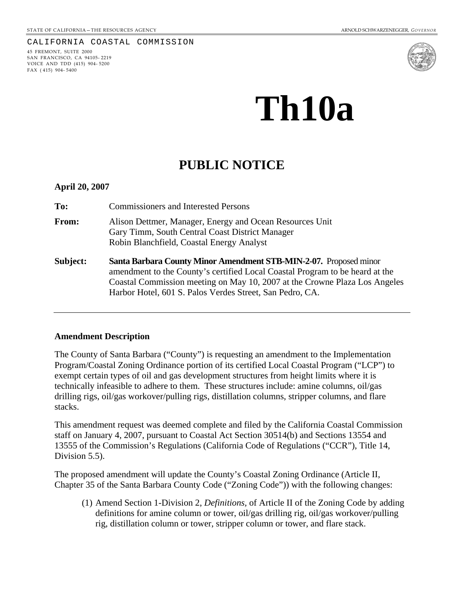#### CALIFORNIA COASTAL COMMISSION

45 FREMONT, SUITE 2000 SAN FRANCISCO, CA 94105- 2219 VOICE AND TDD (415) 904- 5200 FAX ( 415) 904- 5400



# **Th10a**

# **PUBLIC NOTICE**

**April 20, 2007** 

**To:** Commissioners and Interested Persons

- **From:** Alison Dettmer, Manager, Energy and Ocean Resources Unit Gary Timm, South Central Coast District Manager Robin Blanchfield, Coastal Energy Analyst
- **Subject: Santa Barbara County Minor Amendment STB-MIN-2-07.** Proposed minor amendment to the County's certified Local Coastal Program to be heard at the Coastal Commission meeting on May 10, 2007 at the Crowne Plaza Los Angeles Harbor Hotel, 601 S. Palos Verdes Street, San Pedro, CA.

#### **Amendment Description**

The County of Santa Barbara ("County") is requesting an amendment to the Implementation Program/Coastal Zoning Ordinance portion of its certified Local Coastal Program ("LCP") to exempt certain types of oil and gas development structures from height limits where it is technically infeasible to adhere to them. These structures include: amine columns, oil/gas drilling rigs, oil/gas workover/pulling rigs, distillation columns, stripper columns, and flare stacks.

This amendment request was deemed complete and filed by the California Coastal Commission staff on January 4, 2007, pursuant to Coastal Act Section 30514(b) and Sections 13554 and 13555 of the Commission's Regulations (California Code of Regulations ("CCR"), Title 14, Division 5.5).

The proposed amendment will update the County's Coastal Zoning Ordinance (Article II, Chapter 35 of the Santa Barbara County Code ("Zoning Code")) with the following changes:

(1) Amend Section 1-Division 2, *Definitions,* of Article II of the Zoning Code by adding definitions for amine column or tower, oil/gas drilling rig, oil/gas workover/pulling rig, distillation column or tower, stripper column or tower, and flare stack.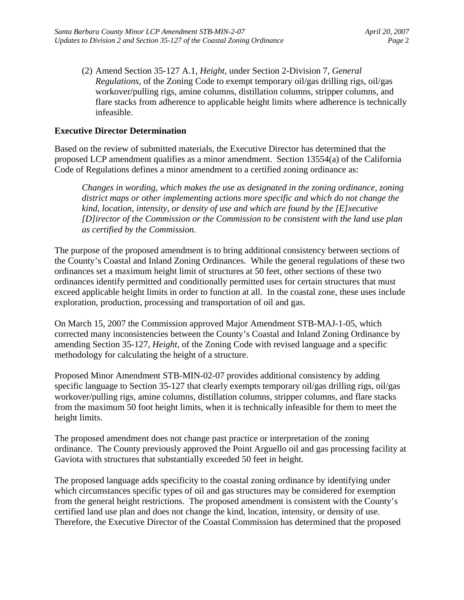(2) Amend Section 35-127 A.1, *Height*, under Section 2-Division 7, *General Regulations,* of the Zoning Code to exempt temporary oil/gas drilling rigs, oil/gas workover/pulling rigs, amine columns, distillation columns, stripper columns, and flare stacks from adherence to applicable height limits where adherence is technically infeasible.

# **Executive Director Determination**

Based on the review of submitted materials, the Executive Director has determined that the proposed LCP amendment qualifies as a minor amendment. Section 13554(a) of the California Code of Regulations defines a minor amendment to a certified zoning ordinance as:

*Changes in wording, which makes the use as designated in the zoning ordinance, zoning district maps or other implementing actions more specific and which do not change the kind, location, intensity, or density of use and which are found by the [E]xecutive [D]irector of the Commission or the Commission to be consistent with the land use plan as certified by the Commission.* 

The purpose of the proposed amendment is to bring additional consistency between sections of the County's Coastal and Inland Zoning Ordinances. While the general regulations of these two ordinances set a maximum height limit of structures at 50 feet, other sections of these two ordinances identify permitted and conditionally permitted uses for certain structures that must exceed applicable height limits in order to function at all. In the coastal zone, these uses include exploration, production, processing and transportation of oil and gas.

On March 15, 2007 the Commission approved Major Amendment STB-MAJ-1-05, which corrected many inconsistencies between the County's Coastal and Inland Zoning Ordinance by amending Section 35-127, *Height,* of the Zoning Code with revised language and a specific methodology for calculating the height of a structure.

Proposed Minor Amendment STB-MIN-02-07 provides additional consistency by adding specific language to Section 35-127 that clearly exempts temporary oil/gas drilling rigs, oil/gas workover/pulling rigs, amine columns, distillation columns, stripper columns, and flare stacks from the maximum 50 foot height limits, when it is technically infeasible for them to meet the height limits.

The proposed amendment does not change past practice or interpretation of the zoning ordinance. The County previously approved the Point Arguello oil and gas processing facility at Gaviota with structures that substantially exceeded 50 feet in height.

The proposed language adds specificity to the coastal zoning ordinance by identifying under which circumstances specific types of oil and gas structures may be considered for exemption from the general height restrictions. The proposed amendment is consistent with the County's certified land use plan and does not change the kind, location, intensity, or density of use. Therefore, the Executive Director of the Coastal Commission has determined that the proposed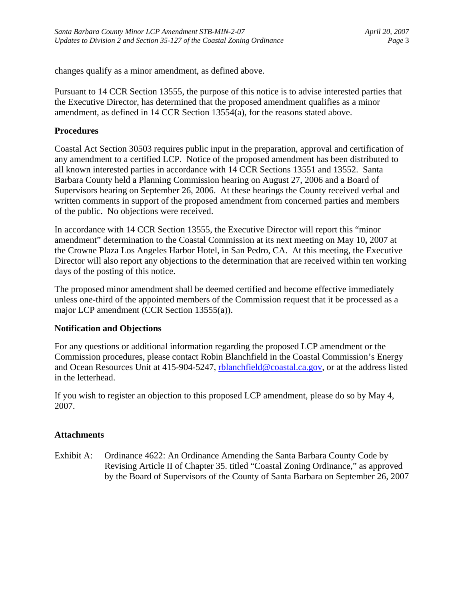changes qualify as a minor amendment, as defined above.

Pursuant to 14 CCR Section 13555, the purpose of this notice is to advise interested parties that the Executive Director, has determined that the proposed amendment qualifies as a minor amendment, as defined in 14 CCR Section 13554(a), for the reasons stated above.

# **Procedures**

Coastal Act Section 30503 requires public input in the preparation, approval and certification of any amendment to a certified LCP. Notice of the proposed amendment has been distributed to all known interested parties in accordance with 14 CCR Sections 13551 and 13552. Santa Barbara County held a Planning Commission hearing on August 27, 2006 and a Board of Supervisors hearing on September 26, 2006. At these hearings the County received verbal and written comments in support of the proposed amendment from concerned parties and members of the public. No objections were received.

In accordance with 14 CCR Section 13555, the Executive Director will report this "minor amendment" determination to the Coastal Commission at its next meeting on May 10**,** 2007 at the Crowne Plaza Los Angeles Harbor Hotel, in San Pedro, CA. At this meeting, the Executive Director will also report any objections to the determination that are received within ten working days of the posting of this notice.

The proposed minor amendment shall be deemed certified and become effective immediately unless one-third of the appointed members of the Commission request that it be processed as a major LCP amendment (CCR Section 13555(a)).

## **Notification and Objections**

For any questions or additional information regarding the proposed LCP amendment or the Commission procedures, please contact Robin Blanchfield in the Coastal Commission's Energy and Ocean Resources Unit at 415-904-5247, [rblanchfield@coastal.ca.gov](mailto:rblanchfield@coastal.ca.gov), or at the address listed in the letterhead.

If you wish to register an objection to this proposed LCP amendment, please do so by May 4, 2007.

## **Attachments**

Exhibit A: Ordinance 4622: An Ordinance Amending the Santa Barbara County Code by Revising Article II of Chapter 35. titled "Coastal Zoning Ordinance," as approved by the Board of Supervisors of the County of Santa Barbara on September 26, 2007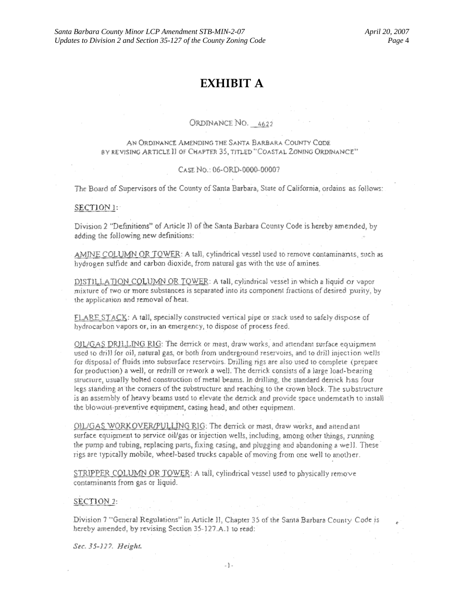# EXHIBIT A

#### ORDINANCE NO. 4622

#### AN ORDINANCE AMENDING THE SANTA BARBARA COUNTY CODE BY REVISING ARTICLE II OF CHAPTER 35, TITLED "COASTAL ZONING ORDINANCE"

#### CASE NO.: 06-ORD-0000-00007

The Board of Supervisors of the County of Santa Barbara, State of California, ordains as follows:

#### SECTION 1:

Division 2 "Definitions" of Article II of the Santa Barbara County Code is hereby amended, by adding the following new definitions:

AMINE COLUMN OR TOWER: A tall, cylindrical vessel used to remove contaminants, such as hydrogen sulfide and carbon dioxide, from natural gas with the use of amines.

DISTILLATION COLUMN OR TOWER: A tall, cylindrical vessel in which a liquid or vapor mixture of two or more substances is separated into its component fractions of desired purity, by the application and removal of heat.

FLARE STACK: A tall, specially constructed vertical pipe or stack used to safely dispose of hydrocarbon vapors or, in an emergency, to dispose of process feed.

OIL/GAS DRILLING RIG: The derrick or mast, draw works, and attendant surface equipment used to drill for oil, natural gas, or both from underground reservoirs, and to drill injection wells for disposal of fluids into subsurface reservoirs. Drilling rigs are also used to complete (prepare for production) a well, or redrill or rework a well. The derrick consists of a large load-bearing structure, usually bolted construction of metal beams. In drilling, the standard derrick has four legs standing at the corners of the substructure and reaching to the crown block. The substructure is an assembly of heavy beams used to elevate the derrick and provide space underneath to install the blowout-preventive equipment, casing head, and other equipment.

OIL/GAS WORKOVER/PULLING RIG: The derrick or mast, draw works, and attendant surface equipment to service oil/gas or injection wells, including, among other things, running the pump and tubing, replacing parts, fixing casing, and plugging and abandoning a well. These rigs are typically mobile, wheel-based trucks capable of moving from one well to another.

STRIPPER COLUMN OR TOWER: A tall, cylindrical vessel used to physically remove contaminants from gas or liquid.

#### SECTION 2:

Division 7 "General Regulations" in Article II, Chapter 35 of the Santa Barbara County Code is hereby amended, by revising Section 35-127.A.1 to read:

Sec. 35-127. Height.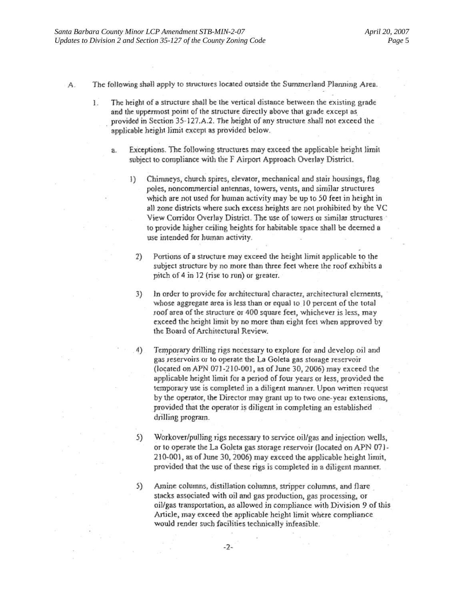- The following shall apply to structures located outside the Summerland Planning Area. A.
	- The height of a structure shall be the vertical distance between the existing grade L. and the uppermost point of the structure directly above that grade except as provided in Section 35-127.A.2. The height of any structure shall not exceed the applicable height limit except as provided below.
		- Exceptions. The following structures may exceed the applicable height limit a. subject to compliance with the F Airport Approach Overlay District.
			- Chimneys, church spires, elevator, mechanical and stair housings, flag  $\left| \cdot \right|$ poles, noncommercial antennas, towers, vents, and similar structures which are not used for human activity may be up to 50 feet in height in all zone districts where such excess heights are not prohibited by the VC View Corridor Overlay District. The use of towers or similar structures to provide higher ceiling heights for habitable space shall be deerned a use intended for human activity.
				- Portions of a structure may exceed the height limit applicable to the 2) subject structure by no more than three feet where the roof exhibits a pitch of 4 in 12 (rise to run) or greater.
				- In order to provide for architectural character, architectural elements, 3) whose aggregate area is less than or equal to 10 percent of the total roof area of the structure or 400 square feet, whichever is less, may exceed the height limit by no more than eight feet when approved by the Board of Architectural Review.
				- Temporary drilling rigs necessary to explore for and develop oil and 4) gas reservoirs or to operate the La Goleta gas storage reservoir (located on APN 071-210-001, as of June 30, 2006) may exceed the applicable height limit for a period of four years or less, provided the temporary use is completed in a diligent manner. Upon written request by the operator, the Director may grant up to two one-year extensions, provided that the operator is diligent in completing an established drilling program.
				- Workover/pulling rigs necessary to service oil/gas and injection wells, 5) or to operate the La Goleta gas storage reservoir (located on APN 07) -210-001, as of June 30, 2006) may exceed the applicable height limit, provided that the use of these rigs is completed in a diligent manner.
				- 5) Amine columns, distillation columns, stripper columns, and flare stacks associated with oil and gas production, gas processing, or oil/gas transportation, as allowed in compliance with Division 9 of this Article, may exceed the applicable height limit where compliance would render such facilities technically infeasible.